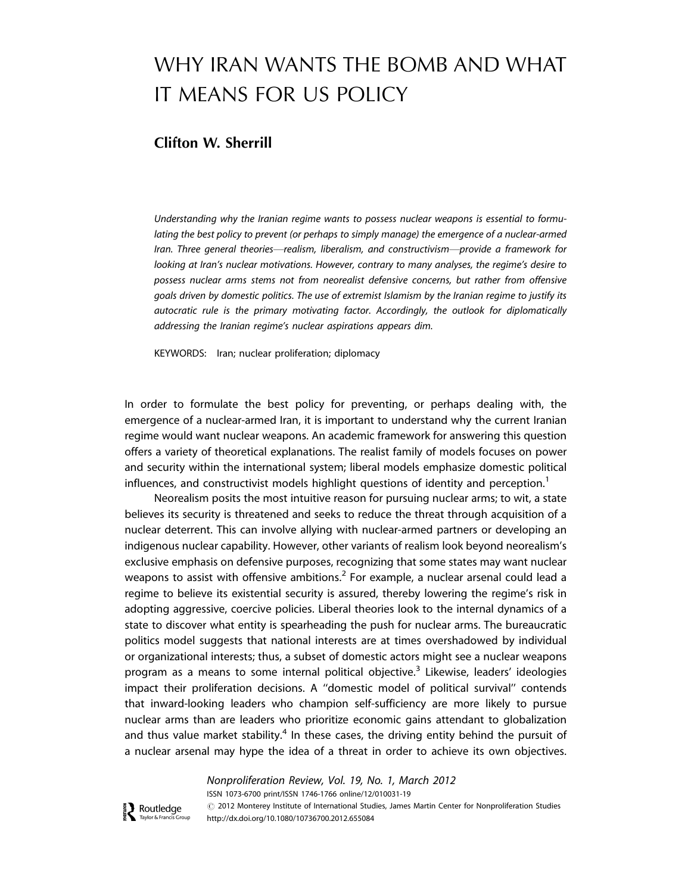# WHY IRAN WANTS THE BOMB AND WHAT IT MEANS FOR US POLICY

# Clifton W. Sherrill

Understanding why the Iranian regime wants to possess nuclear weapons is essential to formulating the best policy to prevent (or perhaps to simply manage) the emergence of a nuclear-armed Iran. Three general theories—realism, liberalism, and constructivism—provide a framework for looking at Iran's nuclear motivations. However, contrary to many analyses, the regime's desire to possess nuclear arms stems not from neorealist defensive concerns, but rather from offensive goals driven by domestic politics. The use of extremist Islamism by the Iranian regime to justify its autocratic rule is the primary motivating factor. Accordingly, the outlook for diplomatically addressing the Iranian regime's nuclear aspirations appears dim.

KEYWORDS: Iran; nuclear proliferation; diplomacy

In order to formulate the best policy for preventing, or perhaps dealing with, the emergence of a nuclear-armed Iran, it is important to understand why the current Iranian regime would want nuclear weapons. An academic framework for answering this question offers a variety of theoretical explanations. The realist family of models focuses on power and security within the international system; liberal models emphasize domestic political influences, and constructivist models highlight questions of identity and perception.<sup>1</sup>

Neorealism posits the most intuitive reason for pursuing nuclear arms; to wit, a state believes its security is threatened and seeks to reduce the threat through acquisition of a nuclear deterrent. This can involve allying with nuclear-armed partners or developing an indigenous nuclear capability. However, other variants of realism look beyond neorealism's exclusive emphasis on defensive purposes, recognizing that some states may want nuclear weapons to assist with offensive ambitions. $<sup>2</sup>$  For example, a nuclear arsenal could lead a</sup> regime to believe its existential security is assured, thereby lowering the regime's risk in adopting aggressive, coercive policies. Liberal theories look to the internal dynamics of a state to discover what entity is spearheading the push for nuclear arms. The bureaucratic politics model suggests that national interests are at times overshadowed by individual or organizational interests; thus, a subset of domestic actors might see a nuclear weapons program as a means to some internal political objective.<sup>3</sup> Likewise, leaders' ideologies impact their proliferation decisions. A ''domestic model of political survival'' contends that inward-looking leaders who champion self-sufficiency are more likely to pursue nuclear arms than are leaders who prioritize economic gains attendant to globalization and thus value market stability.<sup>4</sup> In these cases, the driving entity behind the pursuit of a nuclear arsenal may hype the idea of a threat in order to achieve its own objectives.

Nonproliferation Review, Vol. 19, No. 1, March 2012

ISSN 1073-6700 print/ISSN 1746-1766 online/12/010031-19



 $\odot$  2012 Monterey Institute of International Studies, James Martin Center for Nonproliferation Studies http://dx.doi.org/10.1080/10736700.2012.655084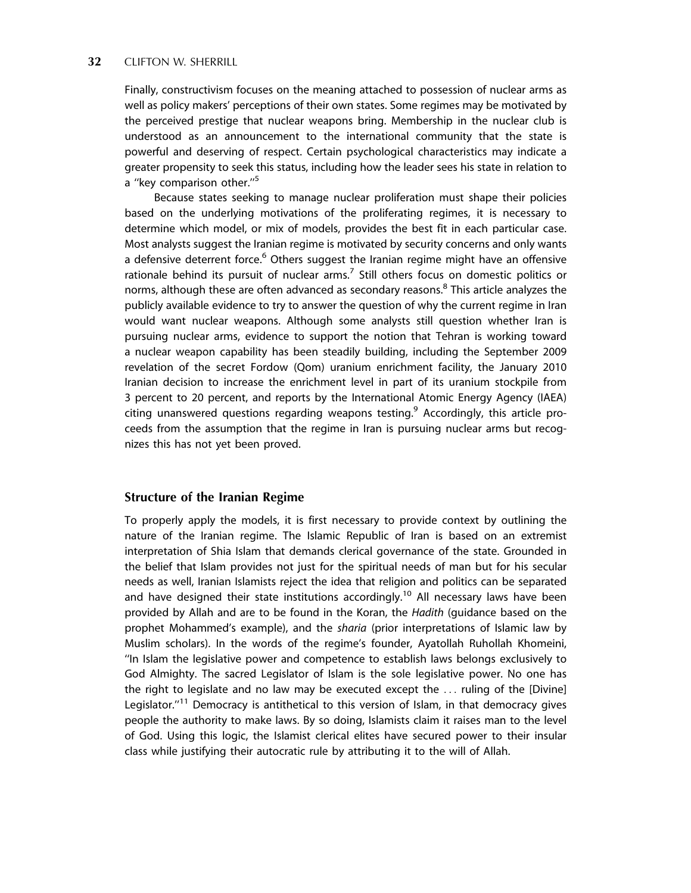Finally, constructivism focuses on the meaning attached to possession of nuclear arms as well as policy makers' perceptions of their own states. Some regimes may be motivated by the perceived prestige that nuclear weapons bring. Membership in the nuclear club is understood as an announcement to the international community that the state is powerful and deserving of respect. Certain psychological characteristics may indicate a greater propensity to seek this status, including how the leader sees his state in relation to a "key comparison other."<sup>5</sup>

Because states seeking to manage nuclear proliferation must shape their policies based on the underlying motivations of the proliferating regimes, it is necessary to determine which model, or mix of models, provides the best fit in each particular case. Most analysts suggest the Iranian regime is motivated by security concerns and only wants a defensive deterrent force.<sup>6</sup> Others suggest the Iranian regime might have an offensive rationale behind its pursuit of nuclear arms.<sup>7</sup> Still others focus on domestic politics or norms, although these are often advanced as secondary reasons.<sup>8</sup> This article analyzes the publicly available evidence to try to answer the question of why the current regime in Iran would want nuclear weapons. Although some analysts still question whether Iran is pursuing nuclear arms, evidence to support the notion that Tehran is working toward a nuclear weapon capability has been steadily building, including the September 2009 revelation of the secret Fordow (Qom) uranium enrichment facility, the January 2010 Iranian decision to increase the enrichment level in part of its uranium stockpile from 3 percent to 20 percent, and reports by the International Atomic Energy Agency (IAEA) citing unanswered questions regarding weapons testing.<sup>9</sup> Accordingly, this article proceeds from the assumption that the regime in Iran is pursuing nuclear arms but recognizes this has not yet been proved.

#### Structure of the Iranian Regime

To properly apply the models, it is first necessary to provide context by outlining the nature of the Iranian regime. The Islamic Republic of Iran is based on an extremist interpretation of Shia Islam that demands clerical governance of the state. Grounded in the belief that Islam provides not just for the spiritual needs of man but for his secular needs as well, Iranian Islamists reject the idea that religion and politics can be separated and have designed their state institutions accordingly.<sup>10</sup> All necessary laws have been provided by Allah and are to be found in the Koran, the Hadith (guidance based on the prophet Mohammed's example), and the sharia (prior interpretations of Islamic law by Muslim scholars). In the words of the regime's founder, Ayatollah Ruhollah Khomeini, ''In Islam the legislative power and competence to establish laws belongs exclusively to God Almighty. The sacred Legislator of Islam is the sole legislative power. No one has the right to legislate and no law may be executed except the ... ruling of the [Divine] Legislator."<sup>11</sup> Democracy is antithetical to this version of Islam, in that democracy gives people the authority to make laws. By so doing, Islamists claim it raises man to the level of God. Using this logic, the Islamist clerical elites have secured power to their insular class while justifying their autocratic rule by attributing it to the will of Allah.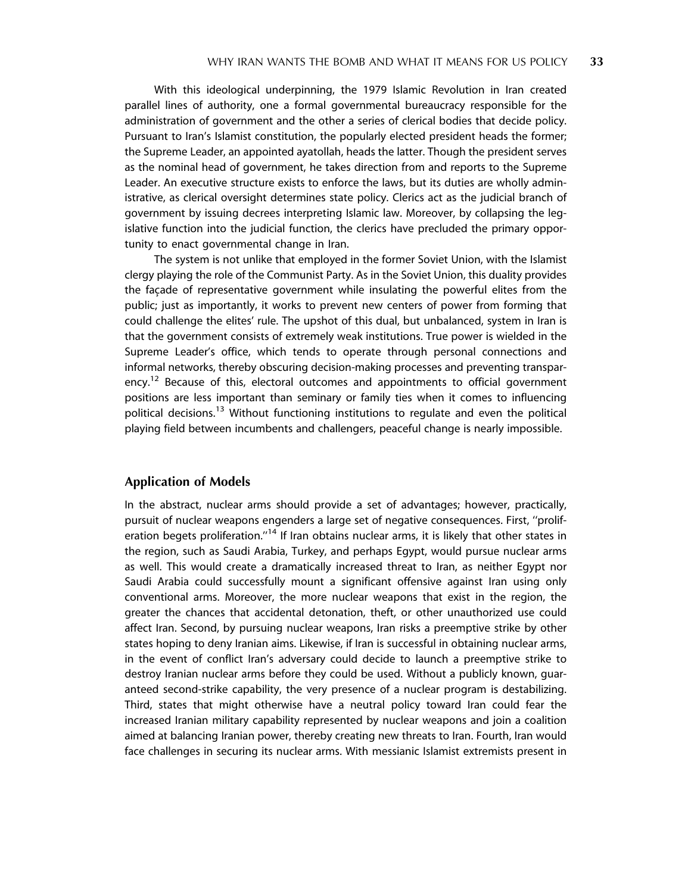With this ideological underpinning, the 1979 Islamic Revolution in Iran created parallel lines of authority, one a formal governmental bureaucracy responsible for the administration of government and the other a series of clerical bodies that decide policy. Pursuant to Iran's Islamist constitution, the popularly elected president heads the former; the Supreme Leader, an appointed ayatollah, heads the latter. Though the president serves as the nominal head of government, he takes direction from and reports to the Supreme Leader. An executive structure exists to enforce the laws, but its duties are wholly administrative, as clerical oversight determines state policy. Clerics act as the judicial branch of government by issuing decrees interpreting Islamic law. Moreover, by collapsing the legislative function into the judicial function, the clerics have precluded the primary opportunity to enact governmental change in Iran.

The system is not unlike that employed in the former Soviet Union, with the Islamist clergy playing the role of the Communist Party. As in the Soviet Union, this duality provides the façade of representative government while insulating the powerful elites from the public; just as importantly, it works to prevent new centers of power from forming that could challenge the elites' rule. The upshot of this dual, but unbalanced, system in Iran is that the government consists of extremely weak institutions. True power is wielded in the Supreme Leader's office, which tends to operate through personal connections and informal networks, thereby obscuring decision-making processes and preventing transparency.<sup>12</sup> Because of this, electoral outcomes and appointments to official government positions are less important than seminary or family ties when it comes to influencing political decisions.<sup>13</sup> Without functioning institutions to regulate and even the political playing field between incumbents and challengers, peaceful change is nearly impossible.

#### Application of Models

In the abstract, nuclear arms should provide a set of advantages; however, practically, pursuit of nuclear weapons engenders a large set of negative consequences. First, ''proliferation begets proliferation."<sup>14</sup> If Iran obtains nuclear arms, it is likely that other states in the region, such as Saudi Arabia, Turkey, and perhaps Egypt, would pursue nuclear arms as well. This would create a dramatically increased threat to Iran, as neither Egypt nor Saudi Arabia could successfully mount a significant offensive against Iran using only conventional arms. Moreover, the more nuclear weapons that exist in the region, the greater the chances that accidental detonation, theft, or other unauthorized use could affect Iran. Second, by pursuing nuclear weapons, Iran risks a preemptive strike by other states hoping to deny Iranian aims. Likewise, if Iran is successful in obtaining nuclear arms, in the event of conflict Iran's adversary could decide to launch a preemptive strike to destroy Iranian nuclear arms before they could be used. Without a publicly known, guaranteed second-strike capability, the very presence of a nuclear program is destabilizing. Third, states that might otherwise have a neutral policy toward Iran could fear the increased Iranian military capability represented by nuclear weapons and join a coalition aimed at balancing Iranian power, thereby creating new threats to Iran. Fourth, Iran would face challenges in securing its nuclear arms. With messianic Islamist extremists present in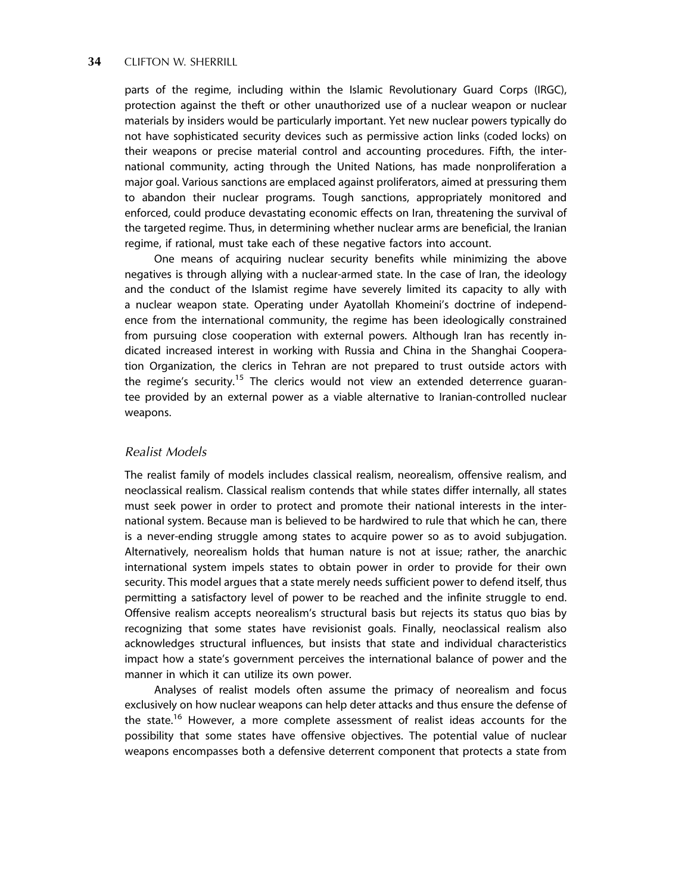parts of the regime, including within the Islamic Revolutionary Guard Corps (IRGC), protection against the theft or other unauthorized use of a nuclear weapon or nuclear materials by insiders would be particularly important. Yet new nuclear powers typically do not have sophisticated security devices such as permissive action links (coded locks) on their weapons or precise material control and accounting procedures. Fifth, the international community, acting through the United Nations, has made nonproliferation a major goal. Various sanctions are emplaced against proliferators, aimed at pressuring them to abandon their nuclear programs. Tough sanctions, appropriately monitored and enforced, could produce devastating economic effects on Iran, threatening the survival of the targeted regime. Thus, in determining whether nuclear arms are beneficial, the Iranian regime, if rational, must take each of these negative factors into account.

One means of acquiring nuclear security benefits while minimizing the above negatives is through allying with a nuclear-armed state. In the case of Iran, the ideology and the conduct of the Islamist regime have severely limited its capacity to ally with a nuclear weapon state. Operating under Ayatollah Khomeini's doctrine of independence from the international community, the regime has been ideologically constrained from pursuing close cooperation with external powers. Although Iran has recently indicated increased interest in working with Russia and China in the Shanghai Cooperation Organization, the clerics in Tehran are not prepared to trust outside actors with the regime's security.<sup>15</sup> The clerics would not view an extended deterrence guarantee provided by an external power as a viable alternative to Iranian-controlled nuclear weapons.

#### Realist Models

The realist family of models includes classical realism, neorealism, offensive realism, and neoclassical realism. Classical realism contends that while states differ internally, all states must seek power in order to protect and promote their national interests in the international system. Because man is believed to be hardwired to rule that which he can, there is a never-ending struggle among states to acquire power so as to avoid subjugation. Alternatively, neorealism holds that human nature is not at issue; rather, the anarchic international system impels states to obtain power in order to provide for their own security. This model argues that a state merely needs sufficient power to defend itself, thus permitting a satisfactory level of power to be reached and the infinite struggle to end. Offensive realism accepts neorealism's structural basis but rejects its status quo bias by recognizing that some states have revisionist goals. Finally, neoclassical realism also acknowledges structural influences, but insists that state and individual characteristics impact how a state's government perceives the international balance of power and the manner in which it can utilize its own power.

Analyses of realist models often assume the primacy of neorealism and focus exclusively on how nuclear weapons can help deter attacks and thus ensure the defense of the state.<sup>16</sup> However, a more complete assessment of realist ideas accounts for the possibility that some states have offensive objectives. The potential value of nuclear weapons encompasses both a defensive deterrent component that protects a state from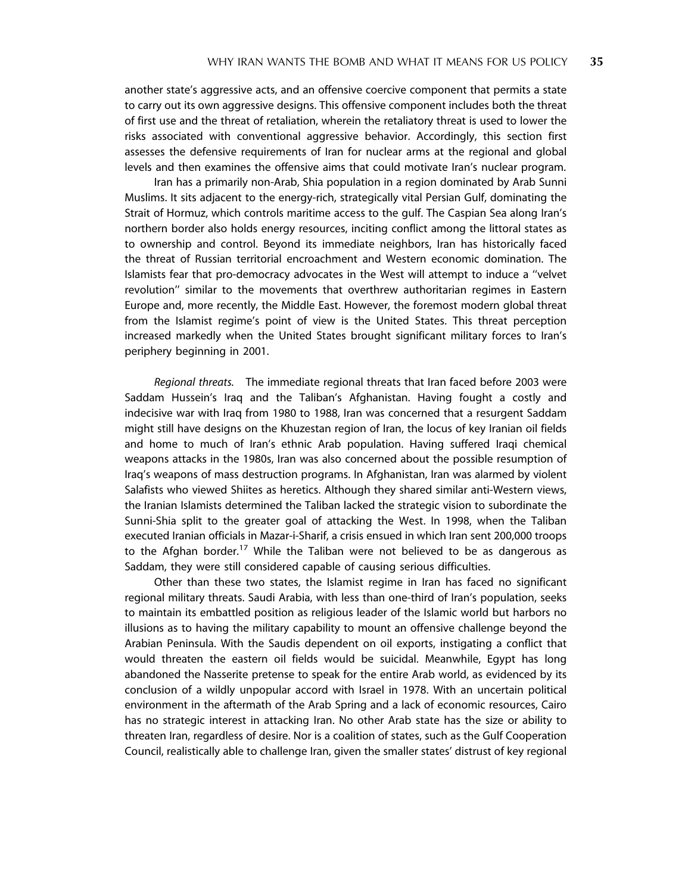another state's aggressive acts, and an offensive coercive component that permits a state to carry out its own aggressive designs. This offensive component includes both the threat of first use and the threat of retaliation, wherein the retaliatory threat is used to lower the risks associated with conventional aggressive behavior. Accordingly, this section first assesses the defensive requirements of Iran for nuclear arms at the regional and global levels and then examines the offensive aims that could motivate Iran's nuclear program.

Iran has a primarily non-Arab, Shia population in a region dominated by Arab Sunni Muslims. It sits adjacent to the energy-rich, strategically vital Persian Gulf, dominating the Strait of Hormuz, which controls maritime access to the gulf. The Caspian Sea along Iran's northern border also holds energy resources, inciting conflict among the littoral states as to ownership and control. Beyond its immediate neighbors, Iran has historically faced the threat of Russian territorial encroachment and Western economic domination. The Islamists fear that pro-democracy advocates in the West will attempt to induce a ''velvet revolution'' similar to the movements that overthrew authoritarian regimes in Eastern Europe and, more recently, the Middle East. However, the foremost modern global threat from the Islamist regime's point of view is the United States. This threat perception increased markedly when the United States brought significant military forces to Iran's periphery beginning in 2001.

Regional threats. The immediate regional threats that Iran faced before 2003 were Saddam Hussein's Iraq and the Taliban's Afghanistan. Having fought a costly and indecisive war with Iraq from 1980 to 1988, Iran was concerned that a resurgent Saddam might still have designs on the Khuzestan region of Iran, the locus of key Iranian oil fields and home to much of Iran's ethnic Arab population. Having suffered Iraqi chemical weapons attacks in the 1980s, Iran was also concerned about the possible resumption of Iraq's weapons of mass destruction programs. In Afghanistan, Iran was alarmed by violent Salafists who viewed Shiites as heretics. Although they shared similar anti-Western views, the Iranian Islamists determined the Taliban lacked the strategic vision to subordinate the Sunni-Shia split to the greater goal of attacking the West. In 1998, when the Taliban executed Iranian officials in Mazar-i-Sharif, a crisis ensued in which Iran sent 200,000 troops to the Afghan border.<sup>17</sup> While the Taliban were not believed to be as dangerous as Saddam, they were still considered capable of causing serious difficulties.

Other than these two states, the Islamist regime in Iran has faced no significant regional military threats. Saudi Arabia, with less than one-third of Iran's population, seeks to maintain its embattled position as religious leader of the Islamic world but harbors no illusions as to having the military capability to mount an offensive challenge beyond the Arabian Peninsula. With the Saudis dependent on oil exports, instigating a conflict that would threaten the eastern oil fields would be suicidal. Meanwhile, Egypt has long abandoned the Nasserite pretense to speak for the entire Arab world, as evidenced by its conclusion of a wildly unpopular accord with Israel in 1978. With an uncertain political environment in the aftermath of the Arab Spring and a lack of economic resources, Cairo has no strategic interest in attacking Iran. No other Arab state has the size or ability to threaten Iran, regardless of desire. Nor is a coalition of states, such as the Gulf Cooperation Council, realistically able to challenge Iran, given the smaller states' distrust of key regional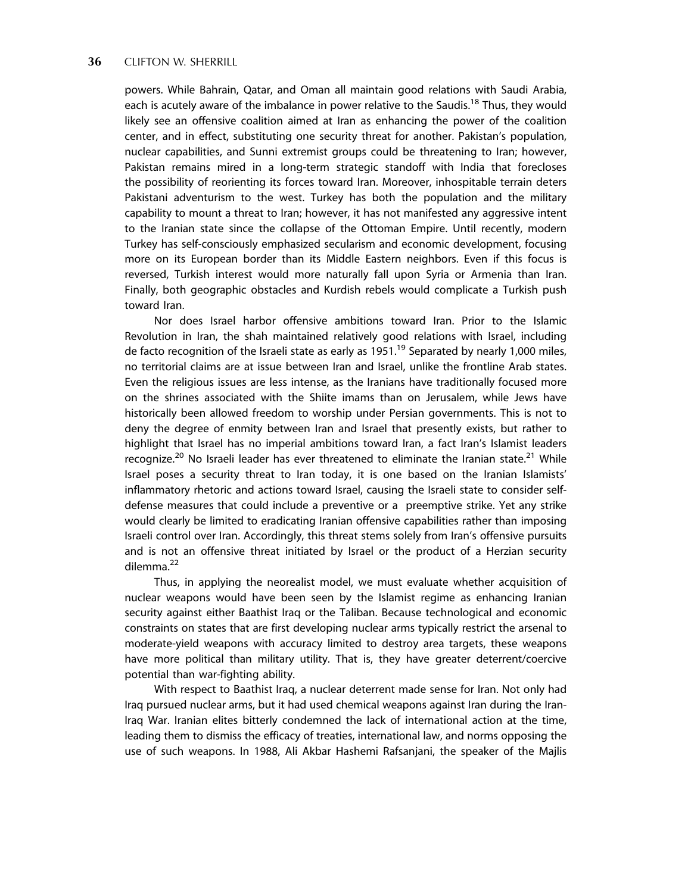powers. While Bahrain, Qatar, and Oman all maintain good relations with Saudi Arabia, each is acutely aware of the imbalance in power relative to the Saudis.<sup>18</sup> Thus, they would likely see an offensive coalition aimed at Iran as enhancing the power of the coalition center, and in effect, substituting one security threat for another. Pakistan's population, nuclear capabilities, and Sunni extremist groups could be threatening to Iran; however, Pakistan remains mired in a long-term strategic standoff with India that forecloses the possibility of reorienting its forces toward Iran. Moreover, inhospitable terrain deters Pakistani adventurism to the west. Turkey has both the population and the military capability to mount a threat to Iran; however, it has not manifested any aggressive intent to the Iranian state since the collapse of the Ottoman Empire. Until recently, modern Turkey has self-consciously emphasized secularism and economic development, focusing more on its European border than its Middle Eastern neighbors. Even if this focus is reversed, Turkish interest would more naturally fall upon Syria or Armenia than Iran. Finally, both geographic obstacles and Kurdish rebels would complicate a Turkish push toward Iran.

Nor does Israel harbor offensive ambitions toward Iran. Prior to the Islamic Revolution in Iran, the shah maintained relatively good relations with Israel, including de facto recognition of the Israeli state as early as  $1951<sup>19</sup>$  Separated by nearly 1,000 miles, no territorial claims are at issue between Iran and Israel, unlike the frontline Arab states. Even the religious issues are less intense, as the Iranians have traditionally focused more on the shrines associated with the Shiite imams than on Jerusalem, while Jews have historically been allowed freedom to worship under Persian governments. This is not to deny the degree of enmity between Iran and Israel that presently exists, but rather to highlight that Israel has no imperial ambitions toward Iran, a fact Iran's Islamist leaders recognize.<sup>20</sup> No Israeli leader has ever threatened to eliminate the Iranian state.<sup>21</sup> While Israel poses a security threat to Iran today, it is one based on the Iranian Islamists' inflammatory rhetoric and actions toward Israel, causing the Israeli state to consider selfdefense measures that could include a preventive or a preemptive strike. Yet any strike would clearly be limited to eradicating Iranian offensive capabilities rather than imposing Israeli control over Iran. Accordingly, this threat stems solely from Iran's offensive pursuits and is not an offensive threat initiated by Israel or the product of a Herzian security dilemma.<sup>22</sup>

Thus, in applying the neorealist model, we must evaluate whether acquisition of nuclear weapons would have been seen by the Islamist regime as enhancing Iranian security against either Baathist Iraq or the Taliban. Because technological and economic constraints on states that are first developing nuclear arms typically restrict the arsenal to moderate-yield weapons with accuracy limited to destroy area targets, these weapons have more political than military utility. That is, they have greater deterrent/coercive potential than war-fighting ability.

With respect to Baathist Iraq, a nuclear deterrent made sense for Iran. Not only had Iraq pursued nuclear arms, but it had used chemical weapons against Iran during the Iran-Iraq War. Iranian elites bitterly condemned the lack of international action at the time, leading them to dismiss the efficacy of treaties, international law, and norms opposing the use of such weapons. In 1988, Ali Akbar Hashemi Rafsanjani, the speaker of the Majlis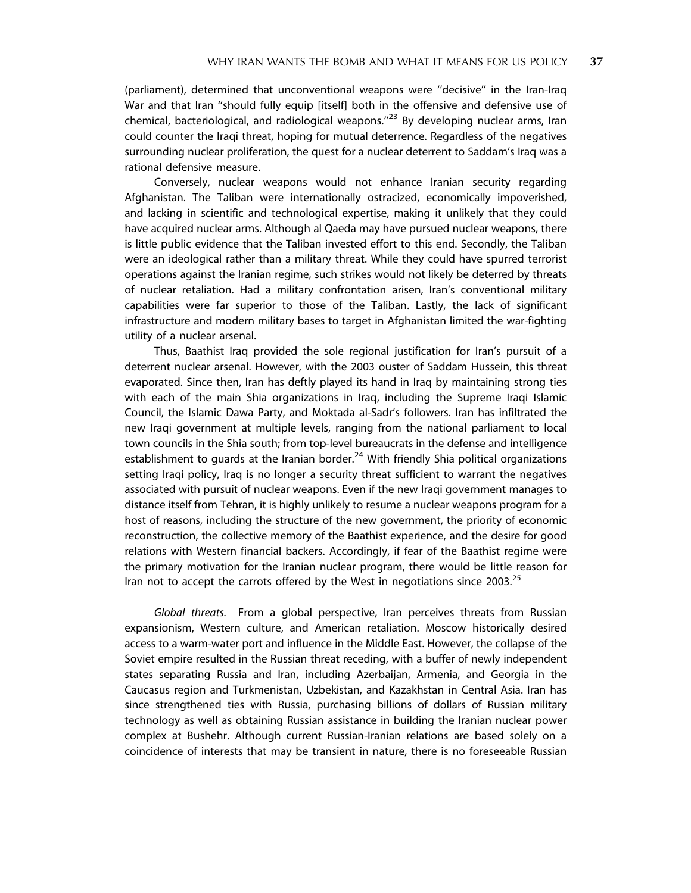(parliament), determined that unconventional weapons were ''decisive'' in the Iran-Iraq War and that Iran ''should fully equip [itself] both in the offensive and defensive use of chemical, bacteriological, and radiological weapons."<sup>23</sup> By developing nuclear arms, Iran could counter the Iraqi threat, hoping for mutual deterrence. Regardless of the negatives surrounding nuclear proliferation, the quest for a nuclear deterrent to Saddam's Iraq was a rational defensive measure.

Conversely, nuclear weapons would not enhance Iranian security regarding Afghanistan. The Taliban were internationally ostracized, economically impoverished, and lacking in scientific and technological expertise, making it unlikely that they could have acquired nuclear arms. Although al Qaeda may have pursued nuclear weapons, there is little public evidence that the Taliban invested effort to this end. Secondly, the Taliban were an ideological rather than a military threat. While they could have spurred terrorist operations against the Iranian regime, such strikes would not likely be deterred by threats of nuclear retaliation. Had a military confrontation arisen, Iran's conventional military capabilities were far superior to those of the Taliban. Lastly, the lack of significant infrastructure and modern military bases to target in Afghanistan limited the war-fighting utility of a nuclear arsenal.

Thus, Baathist Iraq provided the sole regional justification for Iran's pursuit of a deterrent nuclear arsenal. However, with the 2003 ouster of Saddam Hussein, this threat evaporated. Since then, Iran has deftly played its hand in Iraq by maintaining strong ties with each of the main Shia organizations in Iraq, including the Supreme Iraqi Islamic Council, the Islamic Dawa Party, and Moktada al-Sadr's followers. Iran has infiltrated the new Iraqi government at multiple levels, ranging from the national parliament to local town councils in the Shia south; from top-level bureaucrats in the defense and intelligence establishment to guards at the Iranian border. $^{24}$  With friendly Shia political organizations setting Iraqi policy, Iraq is no longer a security threat sufficient to warrant the negatives associated with pursuit of nuclear weapons. Even if the new Iraqi government manages to distance itself from Tehran, it is highly unlikely to resume a nuclear weapons program for a host of reasons, including the structure of the new government, the priority of economic reconstruction, the collective memory of the Baathist experience, and the desire for good relations with Western financial backers. Accordingly, if fear of the Baathist regime were the primary motivation for the Iranian nuclear program, there would be little reason for Iran not to accept the carrots offered by the West in negotiations since 2003.<sup>25</sup>

Global threats. From a global perspective, Iran perceives threats from Russian expansionism, Western culture, and American retaliation. Moscow historically desired access to a warm-water port and influence in the Middle East. However, the collapse of the Soviet empire resulted in the Russian threat receding, with a buffer of newly independent states separating Russia and Iran, including Azerbaijan, Armenia, and Georgia in the Caucasus region and Turkmenistan, Uzbekistan, and Kazakhstan in Central Asia. Iran has since strengthened ties with Russia, purchasing billions of dollars of Russian military technology as well as obtaining Russian assistance in building the Iranian nuclear power complex at Bushehr. Although current Russian-Iranian relations are based solely on a coincidence of interests that may be transient in nature, there is no foreseeable Russian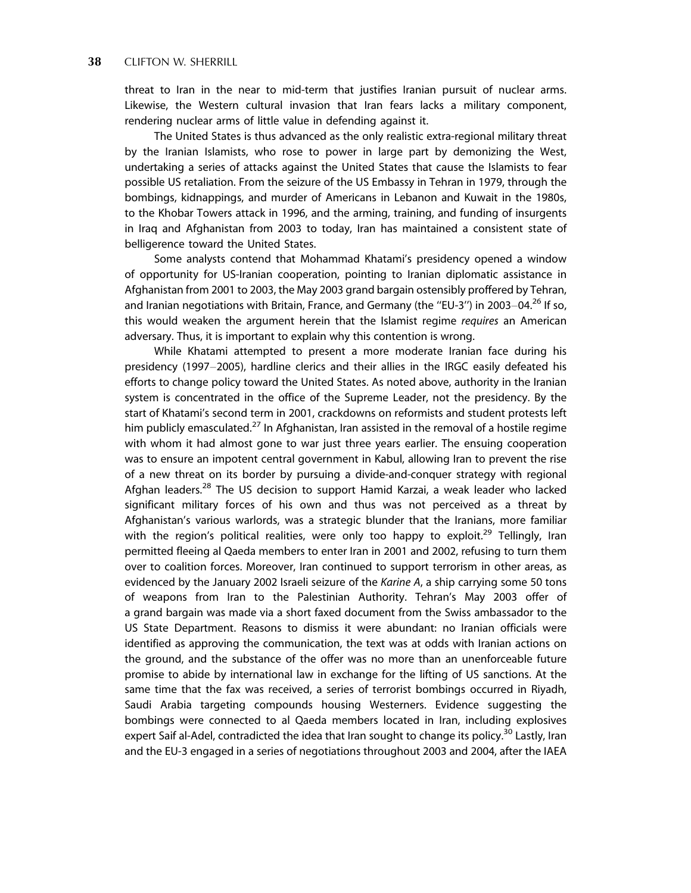threat to Iran in the near to mid-term that justifies Iranian pursuit of nuclear arms. Likewise, the Western cultural invasion that Iran fears lacks a military component, rendering nuclear arms of little value in defending against it.

The United States is thus advanced as the only realistic extra-regional military threat by the Iranian Islamists, who rose to power in large part by demonizing the West, undertaking a series of attacks against the United States that cause the Islamists to fear possible US retaliation. From the seizure of the US Embassy in Tehran in 1979, through the bombings, kidnappings, and murder of Americans in Lebanon and Kuwait in the 1980s, to the Khobar Towers attack in 1996, and the arming, training, and funding of insurgents in Iraq and Afghanistan from 2003 to today, Iran has maintained a consistent state of belligerence toward the United States.

Some analysts contend that Mohammad Khatami's presidency opened a window of opportunity for US-Iranian cooperation, pointing to Iranian diplomatic assistance in Afghanistan from 2001 to 2003, the May 2003 grand bargain ostensibly proffered by Tehran, and Iranian negotiations with Britain, France, and Germany (the "EU-3") in 2003-04.<sup>26</sup> If so, this would weaken the argument herein that the Islamist regime *requires* an American adversary. Thus, it is important to explain why this contention is wrong.

While Khatami attempted to present a more moderate Iranian face during his presidency (1997-2005), hardline clerics and their allies in the IRGC easily defeated his efforts to change policy toward the United States. As noted above, authority in the Iranian system is concentrated in the office of the Supreme Leader, not the presidency. By the start of Khatami's second term in 2001, crackdowns on reformists and student protests left him publicly emasculated.<sup>27</sup> In Afghanistan, Iran assisted in the removal of a hostile regime with whom it had almost gone to war just three years earlier. The ensuing cooperation was to ensure an impotent central government in Kabul, allowing Iran to prevent the rise of a new threat on its border by pursuing a divide-and-conquer strategy with regional Afghan leaders.<sup>28</sup> The US decision to support Hamid Karzai, a weak leader who lacked significant military forces of his own and thus was not perceived as a threat by Afghanistan's various warlords, was a strategic blunder that the Iranians, more familiar with the region's political realities, were only too happy to exploit.<sup>29</sup> Tellingly, Iran permitted fleeing al Qaeda members to enter Iran in 2001 and 2002, refusing to turn them over to coalition forces. Moreover, Iran continued to support terrorism in other areas, as evidenced by the January 2002 Israeli seizure of the Karine A, a ship carrying some 50 tons of weapons from Iran to the Palestinian Authority. Tehran's May 2003 offer of a grand bargain was made via a short faxed document from the Swiss ambassador to the US State Department. Reasons to dismiss it were abundant: no Iranian officials were identified as approving the communication, the text was at odds with Iranian actions on the ground, and the substance of the offer was no more than an unenforceable future promise to abide by international law in exchange for the lifting of US sanctions. At the same time that the fax was received, a series of terrorist bombings occurred in Riyadh, Saudi Arabia targeting compounds housing Westerners. Evidence suggesting the bombings were connected to al Qaeda members located in Iran, including explosives expert Saif al-Adel, contradicted the idea that Iran sought to change its policy.<sup>30</sup> Lastly, Iran and the EU-3 engaged in a series of negotiations throughout 2003 and 2004, after the IAEA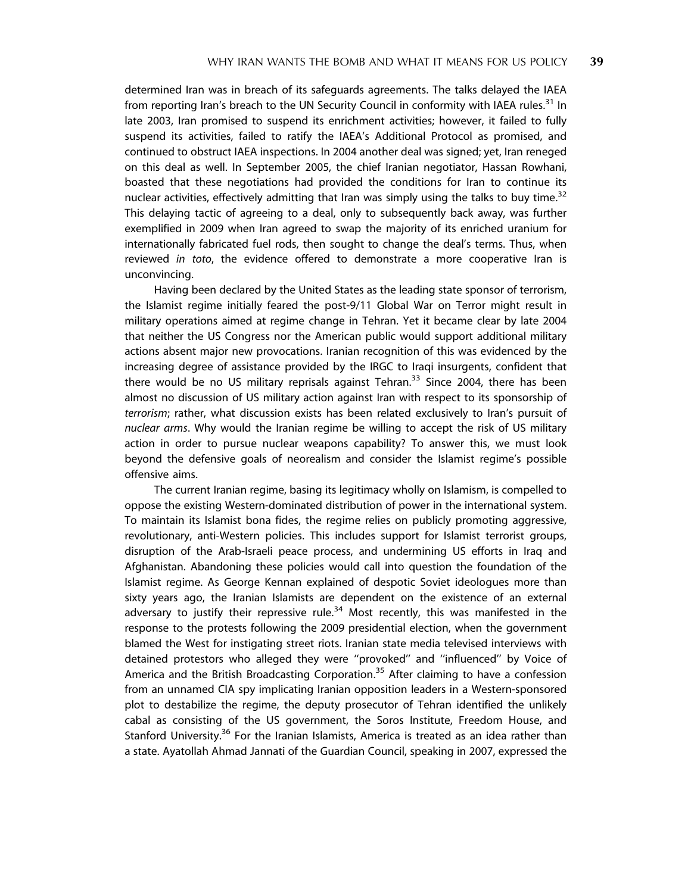determined Iran was in breach of its safeguards agreements. The talks delayed the IAEA from reporting Iran's breach to the UN Security Council in conformity with IAEA rules.<sup>31</sup> In late 2003, Iran promised to suspend its enrichment activities; however, it failed to fully suspend its activities, failed to ratify the IAEA's Additional Protocol as promised, and continued to obstruct IAEA inspections. In 2004 another deal was signed; yet, Iran reneged on this deal as well. In September 2005, the chief Iranian negotiator, Hassan Rowhani, boasted that these negotiations had provided the conditions for Iran to continue its nuclear activities, effectively admitting that Iran was simply using the talks to buy time.<sup>32</sup> This delaying tactic of agreeing to a deal, only to subsequently back away, was further exemplified in 2009 when Iran agreed to swap the majority of its enriched uranium for internationally fabricated fuel rods, then sought to change the deal's terms. Thus, when reviewed in toto, the evidence offered to demonstrate a more cooperative Iran is unconvincing.

Having been declared by the United States as the leading state sponsor of terrorism, the Islamist regime initially feared the post-9/11 Global War on Terror might result in military operations aimed at regime change in Tehran. Yet it became clear by late 2004 that neither the US Congress nor the American public would support additional military actions absent major new provocations. Iranian recognition of this was evidenced by the increasing degree of assistance provided by the IRGC to Iraqi insurgents, confident that there would be no US military reprisals against Tehran.<sup>33</sup> Since 2004, there has been almost no discussion of US military action against Iran with respect to its sponsorship of terrorism; rather, what discussion exists has been related exclusively to Iran's pursuit of nuclear arms. Why would the Iranian regime be willing to accept the risk of US military action in order to pursue nuclear weapons capability? To answer this, we must look beyond the defensive goals of neorealism and consider the Islamist regime's possible offensive aims.

The current Iranian regime, basing its legitimacy wholly on Islamism, is compelled to oppose the existing Western-dominated distribution of power in the international system. To maintain its Islamist bona fides, the regime relies on publicly promoting aggressive, revolutionary, anti-Western policies. This includes support for Islamist terrorist groups, disruption of the Arab-Israeli peace process, and undermining US efforts in Iraq and Afghanistan. Abandoning these policies would call into question the foundation of the Islamist regime. As George Kennan explained of despotic Soviet ideologues more than sixty years ago, the Iranian Islamists are dependent on the existence of an external adversary to justify their repressive rule.<sup>34</sup> Most recently, this was manifested in the response to the protests following the 2009 presidential election, when the government blamed the West for instigating street riots. Iranian state media televised interviews with detained protestors who alleged they were ''provoked'' and ''influenced'' by Voice of America and the British Broadcasting Corporation.<sup>35</sup> After claiming to have a confession from an unnamed CIA spy implicating Iranian opposition leaders in a Western-sponsored plot to destabilize the regime, the deputy prosecutor of Tehran identified the unlikely cabal as consisting of the US government, the Soros Institute, Freedom House, and Stanford University.<sup>36</sup> For the Iranian Islamists, America is treated as an idea rather than a state. Ayatollah Ahmad Jannati of the Guardian Council, speaking in 2007, expressed the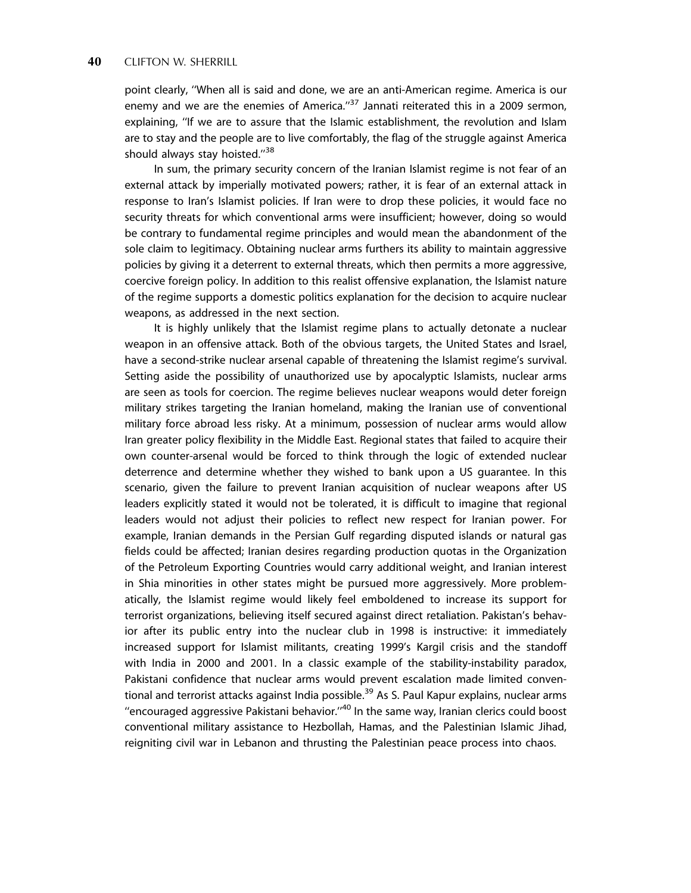point clearly, ''When all is said and done, we are an anti-American regime. America is our enemy and we are the enemies of America."<sup>37</sup> Jannati reiterated this in a 2009 sermon, explaining, ''If we are to assure that the Islamic establishment, the revolution and Islam are to stay and the people are to live comfortably, the flag of the struggle against America should always stay hoisted."<sup>38</sup>

In sum, the primary security concern of the Iranian Islamist regime is not fear of an external attack by imperially motivated powers; rather, it is fear of an external attack in response to Iran's Islamist policies. If Iran were to drop these policies, it would face no security threats for which conventional arms were insufficient; however, doing so would be contrary to fundamental regime principles and would mean the abandonment of the sole claim to legitimacy. Obtaining nuclear arms furthers its ability to maintain aggressive policies by giving it a deterrent to external threats, which then permits a more aggressive, coercive foreign policy. In addition to this realist offensive explanation, the Islamist nature of the regime supports a domestic politics explanation for the decision to acquire nuclear weapons, as addressed in the next section.

It is highly unlikely that the Islamist regime plans to actually detonate a nuclear weapon in an offensive attack. Both of the obvious targets, the United States and Israel, have a second-strike nuclear arsenal capable of threatening the Islamist regime's survival. Setting aside the possibility of unauthorized use by apocalyptic Islamists, nuclear arms are seen as tools for coercion. The regime believes nuclear weapons would deter foreign military strikes targeting the Iranian homeland, making the Iranian use of conventional military force abroad less risky. At a minimum, possession of nuclear arms would allow Iran greater policy flexibility in the Middle East. Regional states that failed to acquire their own counter-arsenal would be forced to think through the logic of extended nuclear deterrence and determine whether they wished to bank upon a US guarantee. In this scenario, given the failure to prevent Iranian acquisition of nuclear weapons after US leaders explicitly stated it would not be tolerated, it is difficult to imagine that regional leaders would not adjust their policies to reflect new respect for Iranian power. For example, Iranian demands in the Persian Gulf regarding disputed islands or natural gas fields could be affected; Iranian desires regarding production quotas in the Organization of the Petroleum Exporting Countries would carry additional weight, and Iranian interest in Shia minorities in other states might be pursued more aggressively. More problematically, the Islamist regime would likely feel emboldened to increase its support for terrorist organizations, believing itself secured against direct retaliation. Pakistan's behavior after its public entry into the nuclear club in 1998 is instructive: it immediately increased support for Islamist militants, creating 1999's Kargil crisis and the standoff with India in 2000 and 2001. In a classic example of the stability-instability paradox, Pakistani confidence that nuclear arms would prevent escalation made limited conventional and terrorist attacks against India possible.<sup>39</sup> As S. Paul Kapur explains, nuclear arms "encouraged aggressive Pakistani behavior." $40$  In the same way, Iranian clerics could boost conventional military assistance to Hezbollah, Hamas, and the Palestinian Islamic Jihad, reigniting civil war in Lebanon and thrusting the Palestinian peace process into chaos.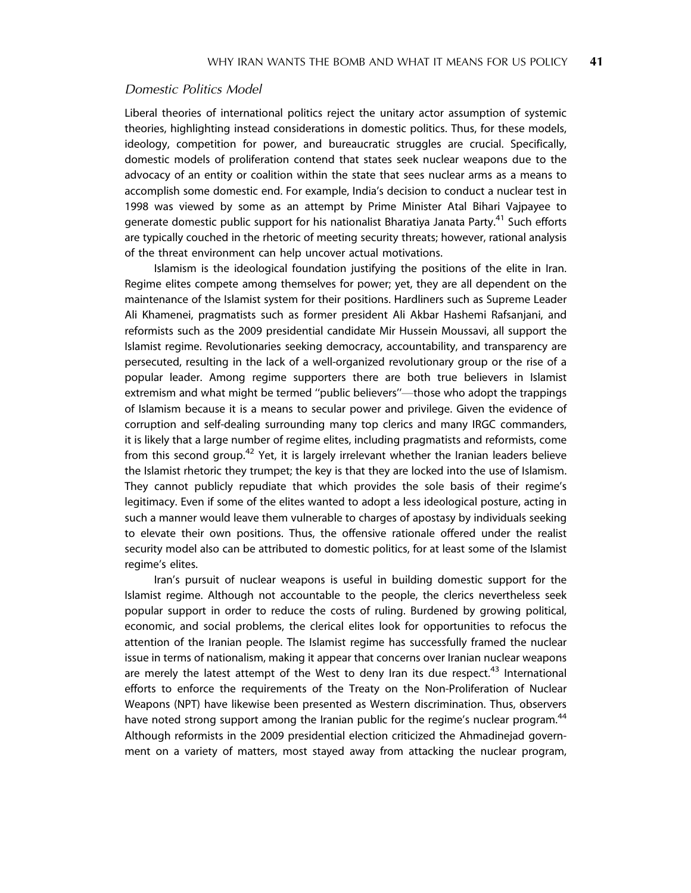#### Domestic Politics Model

Liberal theories of international politics reject the unitary actor assumption of systemic theories, highlighting instead considerations in domestic politics. Thus, for these models, ideology, competition for power, and bureaucratic struggles are crucial. Specifically, domestic models of proliferation contend that states seek nuclear weapons due to the advocacy of an entity or coalition within the state that sees nuclear arms as a means to accomplish some domestic end. For example, India's decision to conduct a nuclear test in 1998 was viewed by some as an attempt by Prime Minister Atal Bihari Vajpayee to generate domestic public support for his nationalist Bharatiya Janata Party.<sup>41</sup> Such efforts are typically couched in the rhetoric of meeting security threats; however, rational analysis of the threat environment can help uncover actual motivations.

Islamism is the ideological foundation justifying the positions of the elite in Iran. Regime elites compete among themselves for power; yet, they are all dependent on the maintenance of the Islamist system for their positions. Hardliners such as Supreme Leader Ali Khamenei, pragmatists such as former president Ali Akbar Hashemi Rafsanjani, and reformists such as the 2009 presidential candidate Mir Hussein Moussavi, all support the Islamist regime. Revolutionaries seeking democracy, accountability, and transparency are persecuted, resulting in the lack of a well-organized revolutionary group or the rise of a popular leader. Among regime supporters there are both true believers in Islamist extremism and what might be termed "public believers"—those who adopt the trappings of Islamism because it is a means to secular power and privilege. Given the evidence of corruption and self-dealing surrounding many top clerics and many IRGC commanders, it is likely that a large number of regime elites, including pragmatists and reformists, come from this second group.<sup>42</sup> Yet, it is largely irrelevant whether the Iranian leaders believe the Islamist rhetoric they trumpet; the key is that they are locked into the use of Islamism. They cannot publicly repudiate that which provides the sole basis of their regime's legitimacy. Even if some of the elites wanted to adopt a less ideological posture, acting in such a manner would leave them vulnerable to charges of apostasy by individuals seeking to elevate their own positions. Thus, the offensive rationale offered under the realist security model also can be attributed to domestic politics, for at least some of the Islamist regime's elites.

Iran's pursuit of nuclear weapons is useful in building domestic support for the Islamist regime. Although not accountable to the people, the clerics nevertheless seek popular support in order to reduce the costs of ruling. Burdened by growing political, economic, and social problems, the clerical elites look for opportunities to refocus the attention of the Iranian people. The Islamist regime has successfully framed the nuclear issue in terms of nationalism, making it appear that concerns over Iranian nuclear weapons are merely the latest attempt of the West to deny Iran its due respect.<sup>43</sup> International efforts to enforce the requirements of the Treaty on the Non-Proliferation of Nuclear Weapons (NPT) have likewise been presented as Western discrimination. Thus, observers have noted strong support among the Iranian public for the regime's nuclear program.<sup>44</sup> Although reformists in the 2009 presidential election criticized the Ahmadinejad government on a variety of matters, most stayed away from attacking the nuclear program,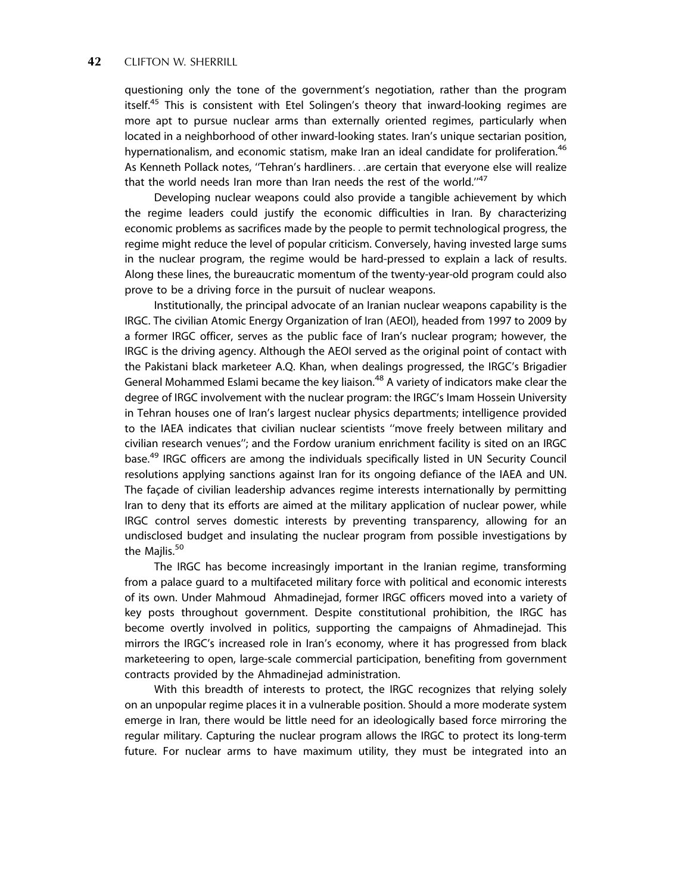questioning only the tone of the government's negotiation, rather than the program itself.<sup>45</sup> This is consistent with Etel Solingen's theory that inward-looking regimes are more apt to pursue nuclear arms than externally oriented regimes, particularly when located in a neighborhood of other inward-looking states. Iran's unique sectarian position, hypernationalism, and economic statism, make Iran an ideal candidate for proliferation.<sup>46</sup> As Kenneth Pollack notes, ''Tehran's hardliners...are certain that everyone else will realize that the world needs Iran more than Iran needs the rest of the world."<sup>47</sup>

Developing nuclear weapons could also provide a tangible achievement by which the regime leaders could justify the economic difficulties in Iran. By characterizing economic problems as sacrifices made by the people to permit technological progress, the regime might reduce the level of popular criticism. Conversely, having invested large sums in the nuclear program, the regime would be hard-pressed to explain a lack of results. Along these lines, the bureaucratic momentum of the twenty-year-old program could also prove to be a driving force in the pursuit of nuclear weapons.

Institutionally, the principal advocate of an Iranian nuclear weapons capability is the IRGC. The civilian Atomic Energy Organization of Iran (AEOI), headed from 1997 to 2009 by a former IRGC officer, serves as the public face of Iran's nuclear program; however, the IRGC is the driving agency. Although the AEOI served as the original point of contact with the Pakistani black marketeer A.Q. Khan, when dealings progressed, the IRGC's Brigadier General Mohammed Eslami became the key liaison.<sup>48</sup> A variety of indicators make clear the degree of IRGC involvement with the nuclear program: the IRGC's Imam Hossein University in Tehran houses one of Iran's largest nuclear physics departments; intelligence provided to the IAEA indicates that civilian nuclear scientists ''move freely between military and civilian research venues''; and the Fordow uranium enrichment facility is sited on an IRGC base.<sup>49</sup> IRGC officers are among the individuals specifically listed in UN Security Council resolutions applying sanctions against Iran for its ongoing defiance of the IAEA and UN. The facade of civilian leadership advances regime interests internationally by permitting Iran to deny that its efforts are aimed at the military application of nuclear power, while IRGC control serves domestic interests by preventing transparency, allowing for an undisclosed budget and insulating the nuclear program from possible investigations by the Majlis.<sup>50</sup>

The IRGC has become increasingly important in the Iranian regime, transforming from a palace guard to a multifaceted military force with political and economic interests of its own. Under Mahmoud Ahmadinejad, former IRGC officers moved into a variety of key posts throughout government. Despite constitutional prohibition, the IRGC has become overtly involved in politics, supporting the campaigns of Ahmadinejad. This mirrors the IRGC's increased role in Iran's economy, where it has progressed from black marketeering to open, large-scale commercial participation, benefiting from government contracts provided by the Ahmadinejad administration.

With this breadth of interests to protect, the IRGC recognizes that relying solely on an unpopular regime places it in a vulnerable position. Should a more moderate system emerge in Iran, there would be little need for an ideologically based force mirroring the regular military. Capturing the nuclear program allows the IRGC to protect its long-term future. For nuclear arms to have maximum utility, they must be integrated into an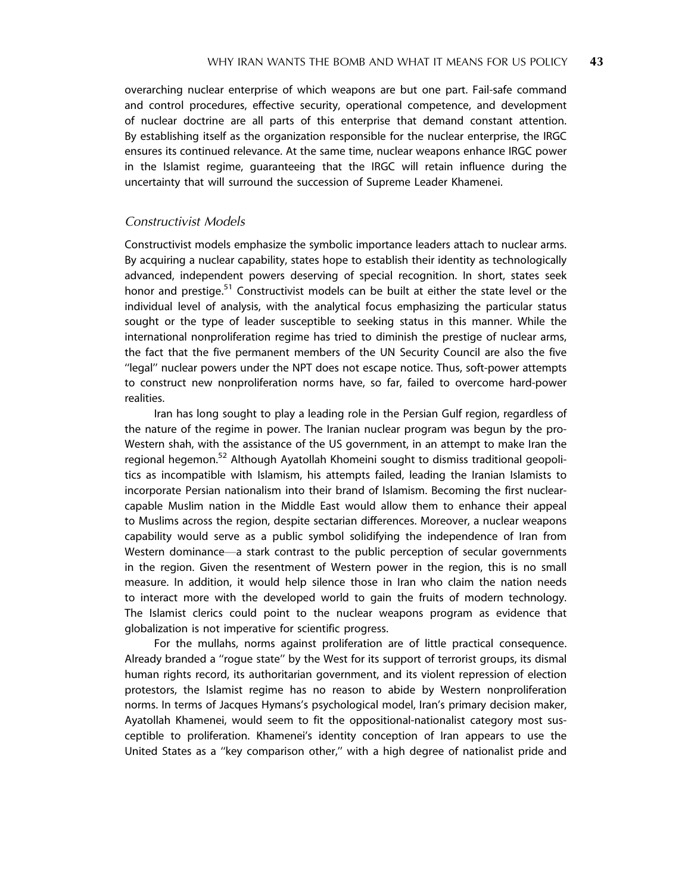overarching nuclear enterprise of which weapons are but one part. Fail-safe command and control procedures, effective security, operational competence, and development of nuclear doctrine are all parts of this enterprise that demand constant attention. By establishing itself as the organization responsible for the nuclear enterprise, the IRGC ensures its continued relevance. At the same time, nuclear weapons enhance IRGC power in the Islamist regime, guaranteeing that the IRGC will retain influence during the uncertainty that will surround the succession of Supreme Leader Khamenei.

#### Constructivist Models

Constructivist models emphasize the symbolic importance leaders attach to nuclear arms. By acquiring a nuclear capability, states hope to establish their identity as technologically advanced, independent powers deserving of special recognition. In short, states seek honor and prestige.<sup>51</sup> Constructivist models can be built at either the state level or the individual level of analysis, with the analytical focus emphasizing the particular status sought or the type of leader susceptible to seeking status in this manner. While the international nonproliferation regime has tried to diminish the prestige of nuclear arms, the fact that the five permanent members of the UN Security Council are also the five ''legal'' nuclear powers under the NPT does not escape notice. Thus, soft-power attempts to construct new nonproliferation norms have, so far, failed to overcome hard-power realities.

Iran has long sought to play a leading role in the Persian Gulf region, regardless of the nature of the regime in power. The Iranian nuclear program was begun by the pro-Western shah, with the assistance of the US government, in an attempt to make Iran the regional hegemon.<sup>52</sup> Although Ayatollah Khomeini sought to dismiss traditional geopolitics as incompatible with Islamism, his attempts failed, leading the Iranian Islamists to incorporate Persian nationalism into their brand of Islamism. Becoming the first nuclearcapable Muslim nation in the Middle East would allow them to enhance their appeal to Muslims across the region, despite sectarian differences. Moreover, a nuclear weapons capability would serve as a public symbol solidifying the independence of Iran from Western dominance—a stark contrast to the public perception of secular governments in the region. Given the resentment of Western power in the region, this is no small measure. In addition, it would help silence those in Iran who claim the nation needs to interact more with the developed world to gain the fruits of modern technology. The Islamist clerics could point to the nuclear weapons program as evidence that globalization is not imperative for scientific progress.

For the mullahs, norms against proliferation are of little practical consequence. Already branded a ''rogue state'' by the West for its support of terrorist groups, its dismal human rights record, its authoritarian government, and its violent repression of election protestors, the Islamist regime has no reason to abide by Western nonproliferation norms. In terms of Jacques Hymans's psychological model, Iran's primary decision maker, Ayatollah Khamenei, would seem to fit the oppositional-nationalist category most susceptible to proliferation. Khamenei's identity conception of Iran appears to use the United States as a ''key comparison other,'' with a high degree of nationalist pride and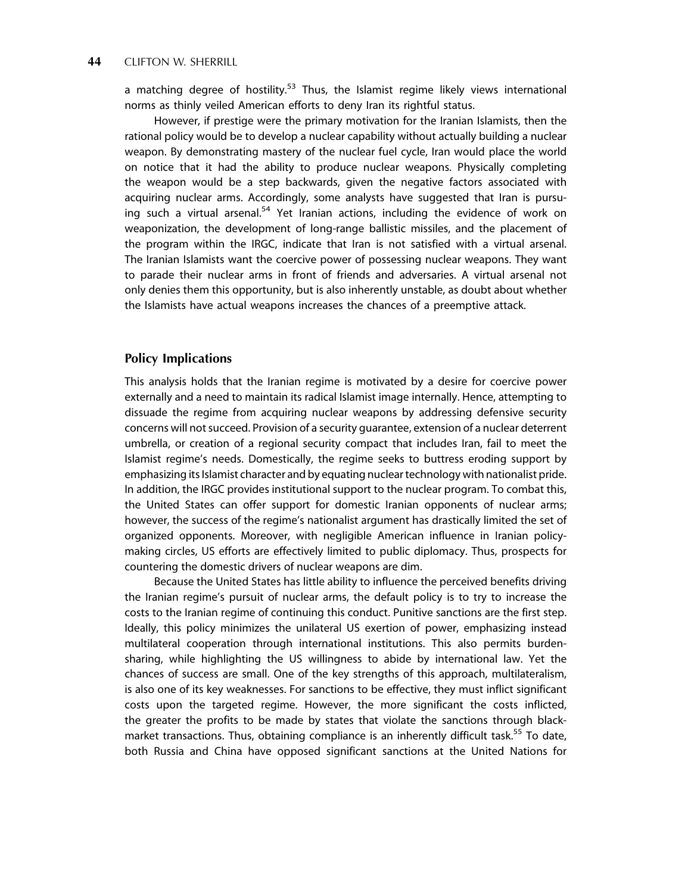a matching degree of hostility.<sup>53</sup> Thus, the Islamist regime likely views international norms as thinly veiled American efforts to deny Iran its rightful status.

However, if prestige were the primary motivation for the Iranian Islamists, then the rational policy would be to develop a nuclear capability without actually building a nuclear weapon. By demonstrating mastery of the nuclear fuel cycle, Iran would place the world on notice that it had the ability to produce nuclear weapons. Physically completing the weapon would be a step backwards, given the negative factors associated with acquiring nuclear arms. Accordingly, some analysts have suggested that Iran is pursuing such a virtual arsenal.<sup>54</sup> Yet Iranian actions, including the evidence of work on weaponization, the development of long-range ballistic missiles, and the placement of the program within the IRGC, indicate that Iran is not satisfied with a virtual arsenal. The Iranian Islamists want the coercive power of possessing nuclear weapons. They want to parade their nuclear arms in front of friends and adversaries. A virtual arsenal not only denies them this opportunity, but is also inherently unstable, as doubt about whether the Islamists have actual weapons increases the chances of a preemptive attack.

#### Policy Implications

This analysis holds that the Iranian regime is motivated by a desire for coercive power externally and a need to maintain its radical Islamist image internally. Hence, attempting to dissuade the regime from acquiring nuclear weapons by addressing defensive security concerns will not succeed. Provision of a security guarantee, extension of a nuclear deterrent umbrella, or creation of a regional security compact that includes Iran, fail to meet the Islamist regime's needs. Domestically, the regime seeks to buttress eroding support by emphasizing its Islamist character and by equating nuclear technology with nationalist pride. In addition, the IRGC provides institutional support to the nuclear program. To combat this, the United States can offer support for domestic Iranian opponents of nuclear arms; however, the success of the regime's nationalist argument has drastically limited the set of organized opponents. Moreover, with negligible American influence in Iranian policymaking circles, US efforts are effectively limited to public diplomacy. Thus, prospects for countering the domestic drivers of nuclear weapons are dim.

Because the United States has little ability to influence the perceived benefits driving the Iranian regime's pursuit of nuclear arms, the default policy is to try to increase the costs to the Iranian regime of continuing this conduct. Punitive sanctions are the first step. Ideally, this policy minimizes the unilateral US exertion of power, emphasizing instead multilateral cooperation through international institutions. This also permits burdensharing, while highlighting the US willingness to abide by international law. Yet the chances of success are small. One of the key strengths of this approach, multilateralism, is also one of its key weaknesses. For sanctions to be effective, they must inflict significant costs upon the targeted regime. However, the more significant the costs inflicted, the greater the profits to be made by states that violate the sanctions through blackmarket transactions. Thus, obtaining compliance is an inherently difficult task.<sup>55</sup> To date, both Russia and China have opposed significant sanctions at the United Nations for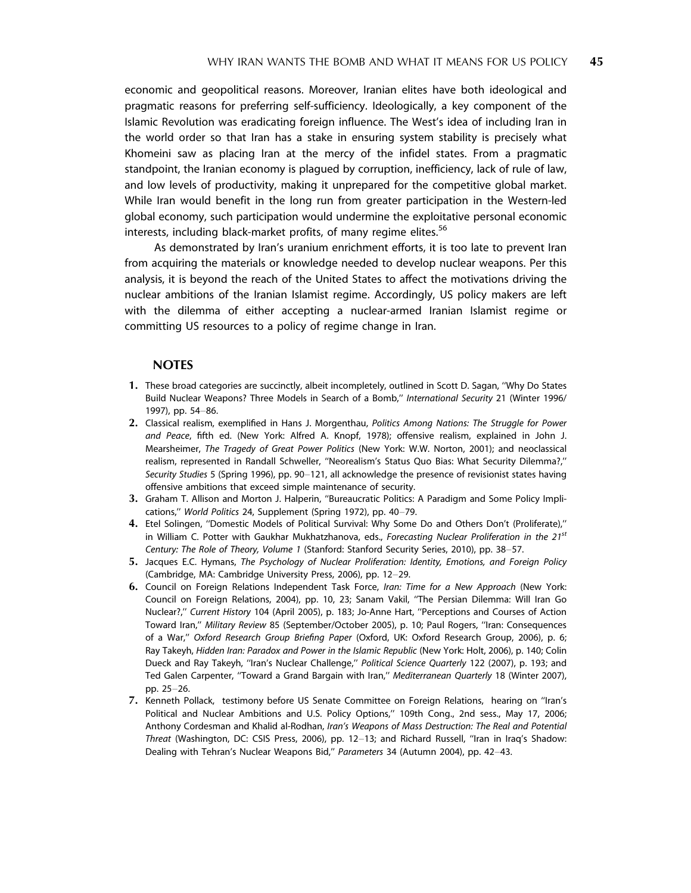economic and geopolitical reasons. Moreover, Iranian elites have both ideological and pragmatic reasons for preferring self-sufficiency. Ideologically, a key component of the Islamic Revolution was eradicating foreign influence. The West's idea of including Iran in the world order so that Iran has a stake in ensuring system stability is precisely what Khomeini saw as placing Iran at the mercy of the infidel states. From a pragmatic standpoint, the Iranian economy is plagued by corruption, inefficiency, lack of rule of law, and low levels of productivity, making it unprepared for the competitive global market. While Iran would benefit in the long run from greater participation in the Western-led global economy, such participation would undermine the exploitative personal economic interests, including black-market profits, of many regime elites.<sup>56</sup>

As demonstrated by Iran's uranium enrichment efforts, it is too late to prevent Iran from acquiring the materials or knowledge needed to develop nuclear weapons. Per this analysis, it is beyond the reach of the United States to affect the motivations driving the nuclear ambitions of the Iranian Islamist regime. Accordingly, US policy makers are left with the dilemma of either accepting a nuclear-armed Iranian Islamist regime or committing US resources to a policy of regime change in Iran.

## NOTES

- 1. These broad categories are succinctly, albeit incompletely, outlined in Scott D. Sagan, ''Why Do States Build Nuclear Weapons? Three Models in Search of a Bomb,'' International Security 21 (Winter 1996/ 1997), pp. 54-86.
- 2. Classical realism, exemplified in Hans J. Morgenthau, Politics Among Nations: The Struggle for Power and Peace, fifth ed. (New York: Alfred A. Knopf, 1978); offensive realism, explained in John J. Mearsheimer, The Tragedy of Great Power Politics (New York: W.W. Norton, 2001); and neoclassical realism, represented in Randall Schweller, ''Neorealism's Status Quo Bias: What Security Dilemma?,'' Security Studies 5 (Spring 1996), pp. 90-121, all acknowledge the presence of revisionist states having offensive ambitions that exceed simple maintenance of security.
- 3. Graham T. Allison and Morton J. Halperin, ''Bureaucratic Politics: A Paradigm and Some Policy Implications," World Politics 24, Supplement (Spring 1972), pp. 40-79.
- 4. Etel Solingen, ''Domestic Models of Political Survival: Why Some Do and Others Don't (Proliferate),'' in William C. Potter with Gaukhar Mukhatzhanova, eds., Forecasting Nuclear Proliferation in the  $21^{st}$ Century: The Role of Theory, Volume 1 (Stanford: Stanford Security Series, 2010), pp. 38-57.
- 5. Jacques E.C. Hymans, The Psychology of Nuclear Proliferation: Identity, Emotions, and Foreign Policy (Cambridge, MA: Cambridge University Press, 2006), pp. 12-29.
- 6. Council on Foreign Relations Independent Task Force, Iran: Time for a New Approach (New York: Council on Foreign Relations, 2004), pp. 10, 23; Sanam Vakil, ''The Persian Dilemma: Will Iran Go Nuclear?,'' Current History 104 (April 2005), p. 183; Jo-Anne Hart, ''Perceptions and Courses of Action Toward Iran,'' Military Review 85 (September/October 2005), p. 10; Paul Rogers, ''Iran: Consequences of a War,'' Oxford Research Group Briefing Paper (Oxford, UK: Oxford Research Group, 2006), p. 6; Ray Takeyh, Hidden Iran: Paradox and Power in the Islamic Republic (New York: Holt, 2006), p. 140; Colin Dueck and Ray Takeyh, ''Iran's Nuclear Challenge,'' Political Science Quarterly 122 (2007), p. 193; and Ted Galen Carpenter, "Toward a Grand Bargain with Iran," Mediterranean Quarterly 18 (Winter 2007), pp. 25-26.
- 7. Kenneth Pollack, testimony before US Senate Committee on Foreign Relations, hearing on ''Iran's Political and Nuclear Ambitions and U.S. Policy Options,'' 109th Cong., 2nd sess., May 17, 2006; Anthony Cordesman and Khalid al-Rodhan, Iran's Weapons of Mass Destruction: The Real and Potential Threat (Washington, DC: CSIS Press, 2006), pp. 12-13; and Richard Russell, "Iran in Iraq's Shadow: Dealing with Tehran's Nuclear Weapons Bid," Parameters 34 (Autumn 2004), pp. 42-43.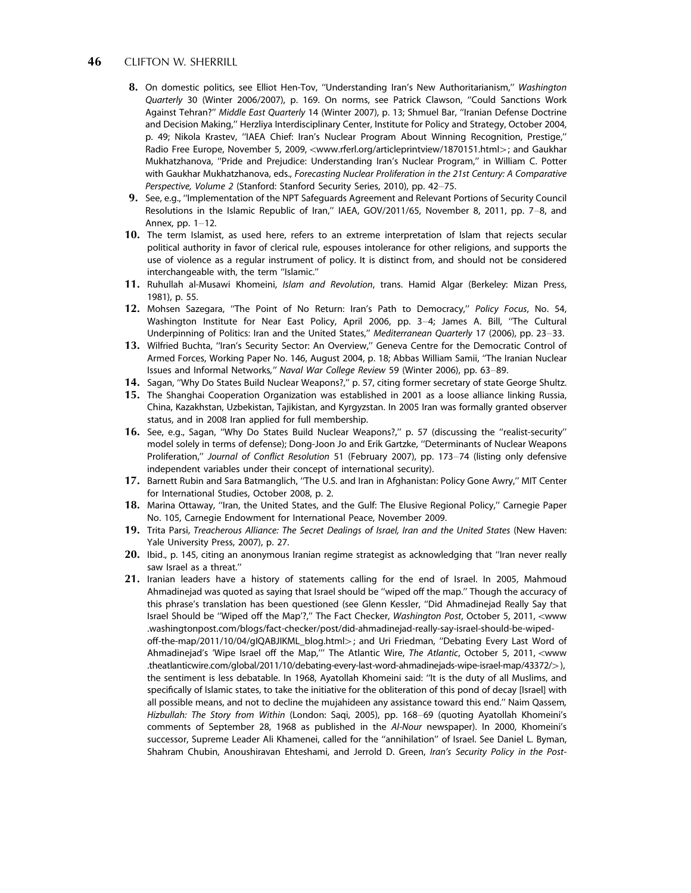- 8. On domestic politics, see Elliot Hen-Tov, ''Understanding Iran's New Authoritarianism,'' Washington Quarterly 30 (Winter 2006/2007), p. 169. On norms, see Patrick Clawson, ''Could Sanctions Work Against Tehran?'' Middle East Quarterly 14 (Winter 2007), p. 13; Shmuel Bar, ''Iranian Defense Doctrine and Decision Making,'' Herzliya Interdisciplinary Center, Institute for Policy and Strategy, October 2004, p. 49; Nikola Krastev, ''IAEA Chief: Iran's Nuclear Program About Winning Recognition, Prestige,'' Radio Free Europe, November 5, 2009, <www.rferl.org/articleprintview/1870151.html>; and Gaukhar Mukhatzhanova, ''Pride and Prejudice: Understanding Iran's Nuclear Program,'' in William C. Potter with Gaukhar Mukhatzhanova, eds., Forecasting Nuclear Proliferation in the 21st Century: A Comparative Perspective, Volume 2 (Stanford: Stanford Security Series, 2010), pp. 42-75.
- 9. See, e.g., ''Implementation of the NPT Safeguards Agreement and Relevant Portions of Security Council Resolutions in the Islamic Republic of Iran," IAEA, GOV/2011/65, November 8, 2011, pp. 7-8, and Annex, pp.  $1-12$ .
- 10. The term Islamist, as used here, refers to an extreme interpretation of Islam that rejects secular political authority in favor of clerical rule, espouses intolerance for other religions, and supports the use of violence as a regular instrument of policy. It is distinct from, and should not be considered interchangeable with, the term ''Islamic.''
- 11. Ruhullah al-Musawi Khomeini, Islam and Revolution, trans. Hamid Algar (Berkeley: Mizan Press, 1981), p. 55.
- 12. Mohsen Sazegara, ''The Point of No Return: Iran's Path to Democracy,'' Policy Focus, No. 54, Washington Institute for Near East Policy, April 2006, pp. 3-4; James A. Bill, "The Cultural Underpinning of Politics: Iran and the United States," Mediterranean Quarterly 17 (2006), pp. 23-33.
- 13. Wilfried Buchta, ''Iran's Security Sector: An Overview,'' Geneva Centre for the Democratic Control of Armed Forces, Working Paper No. 146, August 2004, p. 18; Abbas William Samii, ''The Iranian Nuclear Issues and Informal Networks," Naval War College Review 59 (Winter 2006), pp. 63-89.
- 14. Sagan, ''Why Do States Build Nuclear Weapons?,'' p. 57, citing former secretary of state George Shultz.
- 15. The Shanghai Cooperation Organization was established in 2001 as a loose alliance linking Russia, China, Kazakhstan, Uzbekistan, Tajikistan, and Kyrgyzstan. In 2005 Iran was formally granted observer status, and in 2008 Iran applied for full membership.
- 16. See, e.g., Sagan, ''Why Do States Build Nuclear Weapons?,'' p. 57 (discussing the ''realist-security'' model solely in terms of defense); Dong-Joon Jo and Erik Gartzke, ''Determinants of Nuclear Weapons Proliferation," Journal of Conflict Resolution 51 (February 2007), pp. 173-74 (listing only defensive independent variables under their concept of international security).
- 17. Barnett Rubin and Sara Batmanglich, ''The U.S. and Iran in Afghanistan: Policy Gone Awry,'' MIT Center for International Studies, October 2008, p. 2.
- 18. Marina Ottaway, ''Iran, the United States, and the Gulf: The Elusive Regional Policy,'' Carnegie Paper No. 105, Carnegie Endowment for International Peace, November 2009.
- 19. Trita Parsi, Treacherous Alliance: The Secret Dealings of Israel, Iran and the United States (New Haven: Yale University Press, 2007), p. 27.
- 20. Ibid., p. 145, citing an anonymous Iranian regime strategist as acknowledging that ''Iran never really saw Israel as a threat.''
- 21. Iranian leaders have a history of statements calling for the end of Israel. In 2005, Mahmoud Ahmadinejad was quoted as saying that Israel should be ''wiped off the map.'' Though the accuracy of this phrase's translation has been questioned (see Glenn Kessler, ''Did Ahmadinejad Really Say that Israel Should be "Wiped off the Map'?," The Fact Checker, Washington Post, October 5, 2011, <www .washingtonpost.com/blogs/fact-checker/post/did-ahmadinejad-really-say-israel-should-be-wiped-

off-the-map/2011/10/04/gIQABJIKML\_blog.html>; and Uri Friedman, "Debating Every Last Word of Ahmadinejad's 'Wipe Israel off the Map,"' The Atlantic Wire, The Atlantic, October 5, 2011, <www .theatlanticwire.com/global/2011/10/debating-every-last-word-ahmadinejads-wipe-israel-map/43372/>), the sentiment is less debatable. In 1968, Ayatollah Khomeini said: ''It is the duty of all Muslims, and specifically of Islamic states, to take the initiative for the obliteration of this pond of decay [Israel] with all possible means, and not to decline the mujahideen any assistance toward this end.'' Naim Qassem, Hizbullah: The Story from Within (London: Saqi, 2005), pp. 168-69 (quoting Ayatollah Khomeini's comments of September 28, 1968 as published in the Al-Nour newspaper). In 2000, Khomeini's successor, Supreme Leader Ali Khamenei, called for the ''annihilation'' of Israel. See Daniel L. Byman, Shahram Chubin, Anoushiravan Ehteshami, and Jerrold D. Green, Iran's Security Policy in the Post-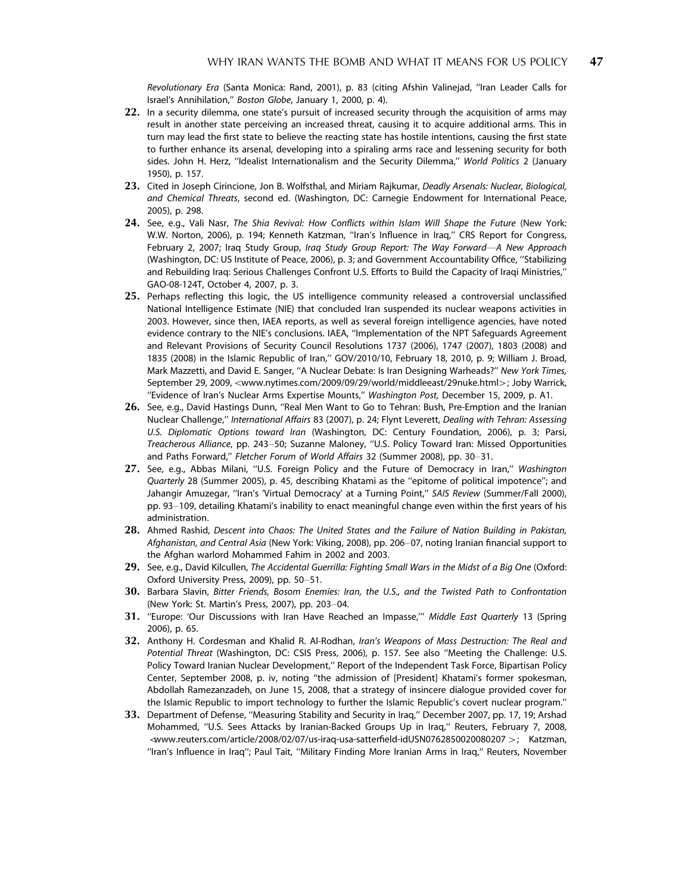Revolutionary Era (Santa Monica: Rand, 2001), p. 83 (citing Afshin Valinejad, ''Iran Leader Calls for Israel's Annihilation,'' Boston Globe, January 1, 2000, p. 4).

- 22. In a security dilemma, one state's pursuit of increased security through the acquisition of arms may result in another state perceiving an increased threat, causing it to acquire additional arms. This in turn may lead the first state to believe the reacting state has hostile intentions, causing the first state to further enhance its arsenal, developing into a spiraling arms race and lessening security for both sides. John H. Herz, "Idealist Internationalism and the Security Dilemma," World Politics 2 (January 1950), p. 157.
- 23. Cited in Joseph Cirincione, Jon B. Wolfsthal, and Miriam Rajkumar, Deadly Arsenals: Nuclear, Biological, and Chemical Threats, second ed. (Washington, DC: Carnegie Endowment for International Peace, 2005), p. 298.
- 24. See, e.g., Vali Nasr, The Shia Revival: How Conflicts within Islam Will Shape the Future (New York: W.W. Norton, 2006), p. 194; Kenneth Katzman, ''Iran's Influence in Iraq,'' CRS Report for Congress, February 2, 2007; Iraq Study Group, Iraq Study Group Report: The Way Forward-A New Approach (Washington, DC: US Institute of Peace, 2006), p. 3; and Government Accountability Office, ''Stabilizing and Rebuilding Iraq: Serious Challenges Confront U.S. Efforts to Build the Capacity of Iraqi Ministries,'' GAO-08-124T, October 4, 2007, p. 3.
- 25. Perhaps reflecting this logic, the US intelligence community released a controversial unclassified National Intelligence Estimate (NIE) that concluded Iran suspended its nuclear weapons activities in 2003. However, since then, IAEA reports, as well as several foreign intelligence agencies, have noted evidence contrary to the NIE's conclusions. IAEA, ''Implementation of the NPT Safeguards Agreement and Relevant Provisions of Security Council Resolutions 1737 (2006), 1747 (2007), 1803 (2008) and 1835 (2008) in the Islamic Republic of Iran,'' GOV/2010/10, February 18, 2010, p. 9; William J. Broad, Mark Mazzetti, and David E. Sanger, ''A Nuclear Debate: Is Iran Designing Warheads?'' New York Times, September 29, 2009, <www.nytimes.com/2009/09/29/world/middleeast/29nuke.html>; Joby Warrick, ''Evidence of Iran's Nuclear Arms Expertise Mounts,'' Washington Post, December 15, 2009, p. A1.
- 26. See, e.g., David Hastings Dunn, "Real Men Want to Go to Tehran: Bush, Pre-Emption and the Iranian Nuclear Challenge,'' International Affairs 83 (2007), p. 24; Flynt Leverett, Dealing with Tehran: Assessing U.S. Diplomatic Options toward Iran (Washington, DC: Century Foundation, 2006), p. 3; Parsi, Treacherous Alliance, pp. 243-50; Suzanne Maloney, "U.S. Policy Toward Iran: Missed Opportunities and Paths Forward," Fletcher Forum of World Affairs 32 (Summer 2008), pp. 30-31.
- 27. See, e.g., Abbas Milani, "U.S. Foreign Policy and the Future of Democracy in Iran," Washington Quarterly 28 (Summer 2005), p. 45, describing Khatami as the ''epitome of political impotence''; and Jahangir Amuzegar, ''Iran's 'Virtual Democracy' at a Turning Point,'' SAIS Review (Summer/Fall 2000), pp. 93-109, detailing Khatami's inability to enact meaningful change even within the first years of his administration.
- 28. Ahmed Rashid, Descent into Chaos: The United States and the Failure of Nation Building in Pakistan, Afghanistan, and Central Asia (New York: Viking, 2008), pp. 206-07, noting Iranian financial support to the Afghan warlord Mohammed Fahim in 2002 and 2003.
- 29. See, e.g., David Kilcullen, The Accidental Guerrilla: Fighting Small Wars in the Midst of a Big One (Oxford: Oxford University Press, 2009), pp. 50-51.
- 30. Barbara Slavin, Bitter Friends, Bosom Enemies: Iran, the U.S., and the Twisted Path to Confrontation (New York: St. Martin's Press, 2007), pp. 203-04.
- 31. ''Europe: 'Our Discussions with Iran Have Reached an Impasse,''' Middle East Quarterly 13 (Spring 2006), p. 65.
- 32. Anthony H. Cordesman and Khalid R. Al-Rodhan, Iran's Weapons of Mass Destruction: The Real and Potential Threat (Washington, DC: CSIS Press, 2006), p. 157. See also ''Meeting the Challenge: U.S. Policy Toward Iranian Nuclear Development,'' Report of the Independent Task Force, Bipartisan Policy Center, September 2008, p. iv, noting ''the admission of [President] Khatami's former spokesman, Abdollah Ramezanzadeh, on June 15, 2008, that a strategy of insincere dialogue provided cover for the Islamic Republic to import technology to further the Islamic Republic's covert nuclear program.''
- 33. Department of Defense, ''Measuring Stability and Security in Iraq,'' December 2007, pp. 17, 19; Arshad Mohammed, ''U.S. Sees Attacks by Iranian-Backed Groups Up in Iraq,'' Reuters, February 7, 2008,  $\leq$ www.reuters.com/article/2008/02/07/us-iraq-usa-satterfield-idUSN0762850020080207 >; Katzman, ''Iran's Influence in Iraq''; Paul Tait, ''Military Finding More Iranian Arms in Iraq,'' Reuters, November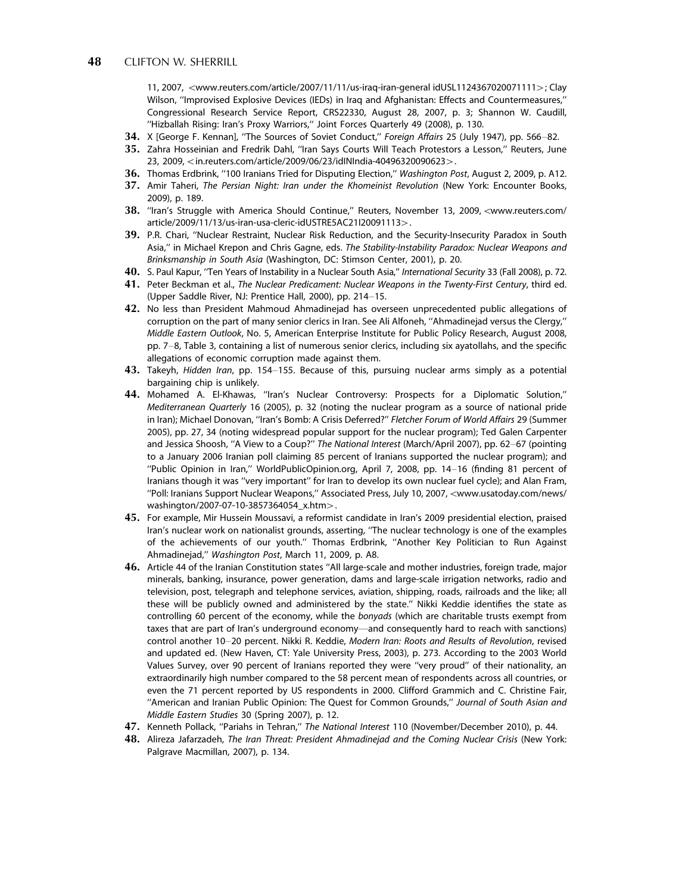11, 2007, <www.reuters.com/article/2007/11/11/us-iraq-iran-general idUSL1124367020071111>; Clay Wilson, ''Improvised Explosive Devices (IEDs) in Iraq and Afghanistan: Effects and Countermeasures,'' Congressional Research Service Report, CRS22330, August 28, 2007, p. 3; Shannon W. Caudill, ''Hizballah Rising: Iran's Proxy Warriors,'' Joint Forces Quarterly 49 (2008), p. 130.

- 34. X [George F. Kennan], 'The Sources of Soviet Conduct,'' Foreign Affairs 25 (July 1947), pp. 566–82.
- 35. Zahra Hosseinian and Fredrik Dahl, ''Iran Says Courts Will Teach Protestors a Lesson,'' Reuters, June 23, 2009, <in.reuters.com/article/2009/06/23/idlNIndia-40496320090623>.
- 36. Thomas Erdbrink, ''100 Iranians Tried for Disputing Election,'' Washington Post, August 2, 2009, p. A12.
- 37. Amir Taheri, The Persian Night: Iran under the Khomeinist Revolution (New York: Encounter Books, 2009), p. 189.
- 38. "Iran's Struggle with America Should Continue," Reuters, November 13, 2009, <www.reuters.com/ article/2009/11/13/us-iran-usa-cleric-idUSTRE5AC21I20091113>.
- 39. P.R. Chari, ''Nuclear Restraint, Nuclear Risk Reduction, and the Security-Insecurity Paradox in South Asia,'' in Michael Krepon and Chris Gagne, eds. The Stability-Instability Paradox: Nuclear Weapons and Brinksmanship in South Asia (Washington, DC: Stimson Center, 2001), p. 20.
- 40. S. Paul Kapur, "Ten Years of Instability in a Nuclear South Asia," International Security 33 (Fall 2008), p. 72.
- 41. Peter Beckman et al., The Nuclear Predicament: Nuclear Weapons in the Twenty-First Century, third ed. (Upper Saddle River, NJ: Prentice Hall, 2000), pp. 214-15.
- 42. No less than President Mahmoud Ahmadinejad has overseen unprecedented public allegations of corruption on the part of many senior clerics in Iran. See Ali Alfoneh, ''Ahmadinejad versus the Clergy,'' Middle Eastern Outlook, No. 5, American Enterprise Institute for Public Policy Research, August 2008, pp. 7-8, Table 3, containing a list of numerous senior clerics, including six ayatollahs, and the specific allegations of economic corruption made against them.
- 43. Takeyh, Hidden Iran, pp. 154-155. Because of this, pursuing nuclear arms simply as a potential bargaining chip is unlikely.
- 44. Mohamed A. El-Khawas, ''Iran's Nuclear Controversy: Prospects for a Diplomatic Solution,'' Mediterranean Quarterly 16 (2005), p. 32 (noting the nuclear program as a source of national pride in Iran); Michael Donovan, ''Iran's Bomb: A Crisis Deferred?'' Fletcher Forum of World Affairs 29 (Summer 2005), pp. 27, 34 (noting widespread popular support for the nuclear program); Ted Galen Carpenter and Jessica Shoosh, "A View to a Coup?" The National Interest (March/April 2007), pp. 62-67 (pointing to a January 2006 Iranian poll claiming 85 percent of Iranians supported the nuclear program); and "Public Opinion in Iran," WorldPublicOpinion.org, April 7, 2008, pp. 14-16 (finding 81 percent of Iranians though it was ''very important'' for Iran to develop its own nuclear fuel cycle); and Alan Fram, "Poll: Iranians Support Nuclear Weapons," Associated Press, July 10, 2007, <www.usatoday.com/news/ washington/2007-07-10-3857364054\_x.htm>.
- 45. For example, Mir Hussein Moussavi, a reformist candidate in Iran's 2009 presidential election, praised Iran's nuclear work on nationalist grounds, asserting, ''The nuclear technology is one of the examples of the achievements of our youth.'' Thomas Erdbrink, ''Another Key Politician to Run Against Ahmadinejad,'' Washington Post, March 11, 2009, p. A8.
- 46. Article 44 of the Iranian Constitution states ''All large-scale and mother industries, foreign trade, major minerals, banking, insurance, power generation, dams and large-scale irrigation networks, radio and television, post, telegraph and telephone services, aviation, shipping, roads, railroads and the like; all these will be publicly owned and administered by the state.'' Nikki Keddie identifies the state as controlling 60 percent of the economy, while the bonyads (which are charitable trusts exempt from taxes that are part of Iran's underground economy—and consequently hard to reach with sanctions) control another 10-20 percent. Nikki R. Keddie, Modern Iran: Roots and Results of Revolution, revised and updated ed. (New Haven, CT: Yale University Press, 2003), p. 273. According to the 2003 World Values Survey, over 90 percent of Iranians reported they were ''very proud'' of their nationality, an extraordinarily high number compared to the 58 percent mean of respondents across all countries, or even the 71 percent reported by US respondents in 2000. Clifford Grammich and C. Christine Fair, ''American and Iranian Public Opinion: The Quest for Common Grounds,'' Journal of South Asian and Middle Eastern Studies 30 (Spring 2007), p. 12.
- 47. Kenneth Pollack, "Pariahs in Tehran," The National Interest 110 (November/December 2010), p. 44.
- 48. Alireza Jafarzadeh, The Iran Threat: President Ahmadinejad and the Coming Nuclear Crisis (New York: Palgrave Macmillan, 2007), p. 134.